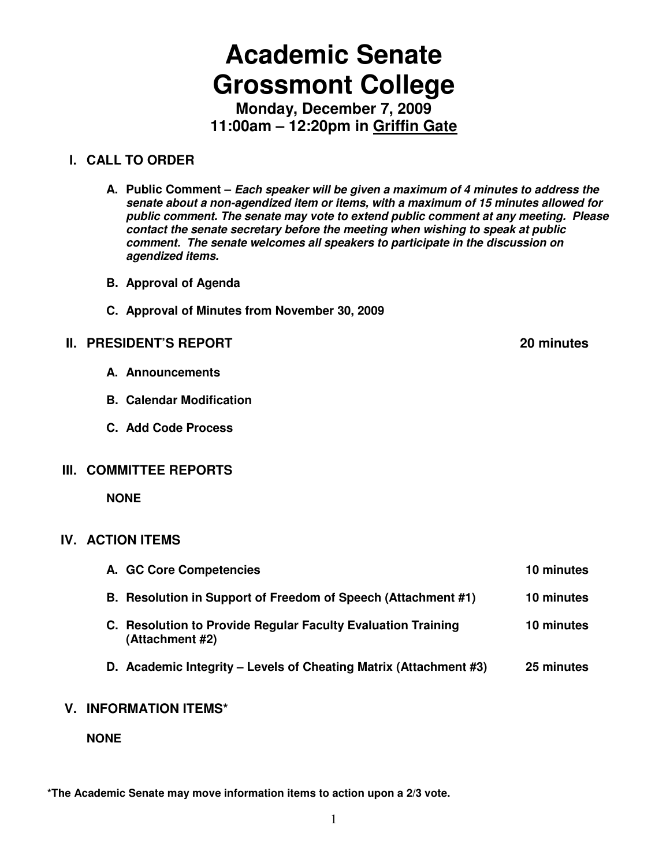# **Academic Senate Grossmont College**

**Monday, December 7, 2009 11:00am – 12:20pm in Griffin Gate**

### **I. CALL TO ORDER**

- **A. Public Comment Each speaker will be given a maximum of 4 minutes to address the senate about a non-agendized item or items, with a maximum of 15 minutes allowed for public comment. The senate may vote to extend public comment at any meeting. Please contact the senate secretary before the meeting when wishing to speak at public comment. The senate welcomes all speakers to participate in the discussion on agendized items.**
- **B. Approval of Agenda**
- **C. Approval of Minutes from November 30, 2009**

#### **II. PRESIDENT'S REPORT 20 minutes**

- **A. Announcements**
- **B. Calendar Modification**
- **C. Add Code Process**

#### **III. COMMITTEE REPORTS**

 **NONE** 

#### **IV. ACTION ITEMS**

| A. GC Core Competencies                                                         | 10 minutes |
|---------------------------------------------------------------------------------|------------|
| B. Resolution in Support of Freedom of Speech (Attachment #1)                   | 10 minutes |
| C. Resolution to Provide Regular Faculty Evaluation Training<br>(Attachment #2) | 10 minutes |
| D. Academic Integrity - Levels of Cheating Matrix (Attachment #3)               | 25 minutes |

#### **V. INFORMATION ITEMS\***

**NONE** 

**\*The Academic Senate may move information items to action upon a 2/3 vote.**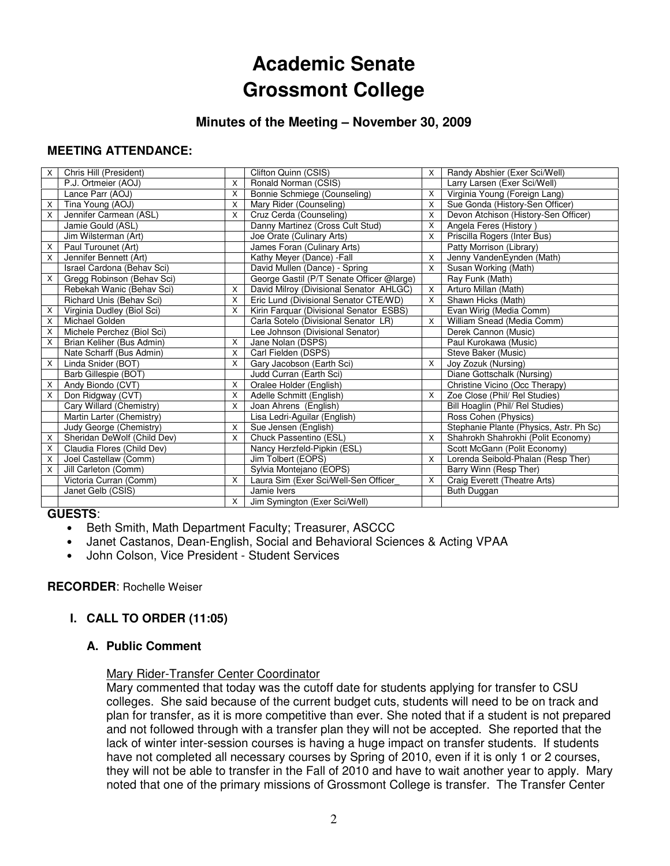# **Academic Senate Grossmont College**

#### **Minutes of the Meeting – November 30, 2009**

#### **MEETING ATTENDANCE:**

| X                         | Chris Hill (President)      |          | Clifton Quinn (CSIS)                      | X        | Randy Abshier (Exer Sci/Well)           |
|---------------------------|-----------------------------|----------|-------------------------------------------|----------|-----------------------------------------|
|                           | P.J. Ortmeier (AOJ)         | X        | Ronald Norman (CSIS)                      |          | Larry Larsen (Exer Sci/Well)            |
|                           | Lance Parr (AOJ)            | X        | Bonnie Schmiege (Counseling)              | X        | Virginia Young (Foreign Lang)           |
| X                         | Tina Young (AOJ)            | X        | Mary Rider (Counseling)                   | $\times$ | Sue Gonda (History-Sen Officer)         |
| $\boldsymbol{\mathsf{X}}$ | Jennifer Carmean (ASL)      | X        | Cruz Cerda (Counseling)                   | X        | Devon Atchison (History-Sen Officer)    |
|                           | Jamie Gould (ASL)           |          | Danny Martinez (Cross Cult Stud)          | X        | Angela Feres (History)                  |
|                           | Jim Wilsterman (Art)        |          | Joe Orate (Culinary Arts)                 | $\times$ | Priscilla Rogers (Inter Bus)            |
| X                         | Paul Turounet (Art)         |          | James Foran (Culinary Arts)               |          | Patty Morrison (Library)                |
| $\boldsymbol{\mathsf{X}}$ | Jennifer Bennett (Art)      |          | Kathy Meyer (Dance) - Fall                | $\times$ | Jenny VandenEynden (Math)               |
|                           | Israel Cardona (Behav Sci)  |          | David Mullen (Dance) - Spring             | $\times$ | Susan Working (Math)                    |
| $\boldsymbol{\mathsf{X}}$ | Gregg Robinson (Behav Sci)  |          | George Gastil (P/T Senate Officer @large) |          | Ray Funk (Math)                         |
|                           | Rebekah Wanic (Behav Sci)   | X        | David Milroy (Divisional Senator AHLGC)   | $\times$ | Arturo Millan (Math)                    |
|                           | Richard Unis (Behav Sci)    | $\sf X$  | Eric Lund (Divisional Senator CTE/WD)     | X        | Shawn Hicks (Math)                      |
| $\boldsymbol{\mathsf{X}}$ | Virginia Dudley (Biol Sci)  | X        | Kirin Farquar (Divisional Senator ESBS)   |          | Evan Wirig (Media Comm)                 |
| X                         | Michael Golden              |          | Carla Sotelo (Divisional Senator LR)      | X        | William Snead (Media Comm)              |
| $\boldsymbol{\mathsf{X}}$ | Michele Perchez (Biol Sci)  |          | Lee Johnson (Divisional Senator)          |          | Derek Cannon (Music)                    |
| $\mathsf{X}$              | Brian Keliher (Bus Admin)   | X        | Jane Nolan (DSPS)                         |          | Paul Kurokawa (Music)                   |
|                           | Nate Scharff (Bus Admin)    | X        | Carl Fielden (DSPS)                       |          | Steve Baker (Music)                     |
| $\times$                  | Linda Snider (BOT)          | X        | Gary Jacobson (Earth Sci)                 | X        | Joy Zozuk (Nursing)                     |
|                           | Barb Gillespie (BOT)        |          | Judd Curran (Earth Sci)                   |          | Diane Gottschalk (Nursing)              |
| X                         | Andy Biondo (CVT)           | X        | Oralee Holder (English)                   |          | Christine Vicino (Occ Therapy)          |
| $\boldsymbol{\mathsf{X}}$ | Don Ridgway (CVT)           | X        | Adelle Schmitt (English)                  | X        | Zoe Close (Phil/ Rel Studies)           |
|                           | Cary Willard (Chemistry)    | X        | Joan Ahrens (English)                     |          | Bill Hoaglin (Phil/ Rel Studies)        |
|                           | Martin Larter (Chemistry)   |          | Lisa Ledri-Aguilar (English)              |          | Ross Cohen (Physics)                    |
|                           | Judy George (Chemistry)     | X        | Sue Jensen (English)                      |          | Stephanie Plante (Physics, Astr. Ph Sc) |
| X                         | Sheridan DeWolf (Child Dev) | X        | Chuck Passentino (ESL)                    | $\times$ | Shahrokh Shahrokhi (Polit Economy)      |
| X                         | Claudia Flores (Child Dev)  |          | Nancy Herzfeld-Pipkin (ESL)               |          | Scott McGann (Polit Economy)            |
| X                         | Joel Castellaw (Comm)       |          | Jim Tolbert (EOPS)                        | X        | Lorenda Seibold-Phalan (Resp Ther)      |
| $\times$                  | Jill Carleton (Comm)        |          | Sylvia Montejano (EOPS)                   |          | Barry Winn (Resp Ther)                  |
|                           | Victoria Curran (Comm)      | X        | Laura Sim (Exer Sci/Well-Sen Officer      | X        | Craig Everett (Theatre Arts)            |
|                           | Janet Gelb (CSIS)           |          | Jamie Ivers                               |          | Buth Duggan                             |
|                           |                             | $\times$ | Jim Symington (Exer Sci/Well)             |          |                                         |

#### **GUESTS**:

- Beth Smith, Math Department Faculty; Treasurer, ASCCC
- Janet Castanos, Dean-English, Social and Behavioral Sciences & Acting VPAA
- John Colson, Vice President Student Services

#### **RECORDER**: Rochelle Weiser

#### **I. CALL TO ORDER (11:05)**

#### **A. Public Comment**

#### Mary Rider-Transfer Center Coordinator

Mary commented that today was the cutoff date for students applying for transfer to CSU colleges. She said because of the current budget cuts, students will need to be on track and plan for transfer, as it is more competitive than ever. She noted that if a student is not prepared and not followed through with a transfer plan they will not be accepted. She reported that the lack of winter inter-session courses is having a huge impact on transfer students. If students have not completed all necessary courses by Spring of 2010, even if it is only 1 or 2 courses, they will not be able to transfer in the Fall of 2010 and have to wait another year to apply. Mary noted that one of the primary missions of Grossmont College is transfer. The Transfer Center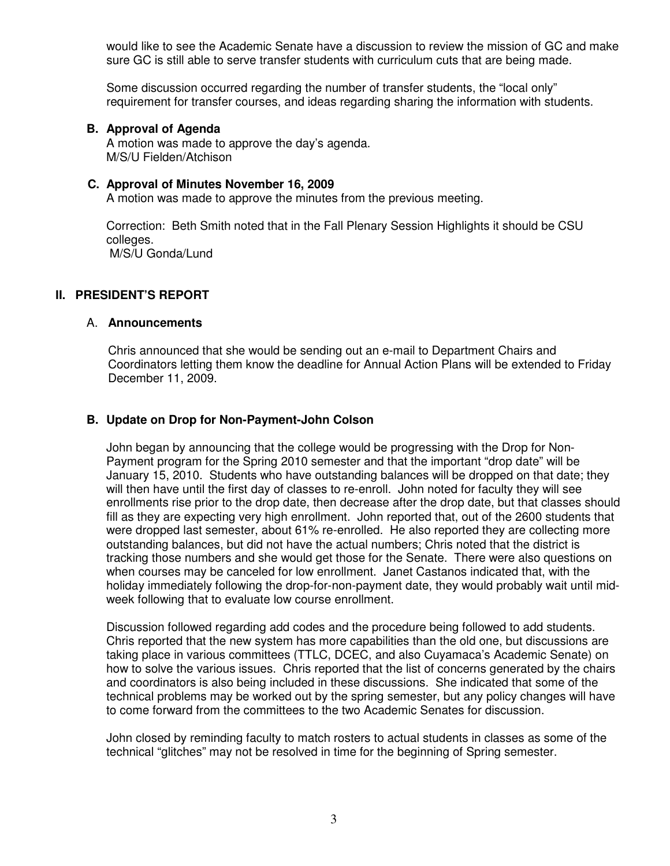would like to see the Academic Senate have a discussion to review the mission of GC and make sure GC is still able to serve transfer students with curriculum cuts that are being made.

Some discussion occurred regarding the number of transfer students, the "local only" requirement for transfer courses, and ideas regarding sharing the information with students.

#### **B. Approval of Agenda**

A motion was made to approve the day's agenda. M/S/U Fielden/Atchison

#### **C. Approval of Minutes November 16, 2009**

A motion was made to approve the minutes from the previous meeting.

Correction: Beth Smith noted that in the Fall Plenary Session Highlights it should be CSU colleges. M/S/U Gonda/Lund

#### **II. PRESIDENT'S REPORT**

#### A. **Announcements**

Chris announced that she would be sending out an e-mail to Department Chairs and Coordinators letting them know the deadline for Annual Action Plans will be extended to Friday December 11, 2009.

#### **B. Update on Drop for Non-Payment-John Colson**

John began by announcing that the college would be progressing with the Drop for Non-Payment program for the Spring 2010 semester and that the important "drop date" will be January 15, 2010. Students who have outstanding balances will be dropped on that date; they will then have until the first day of classes to re-enroll. John noted for faculty they will see enrollments rise prior to the drop date, then decrease after the drop date, but that classes should fill as they are expecting very high enrollment. John reported that, out of the 2600 students that were dropped last semester, about 61% re-enrolled. He also reported they are collecting more outstanding balances, but did not have the actual numbers; Chris noted that the district is tracking those numbers and she would get those for the Senate. There were also questions on when courses may be canceled for low enrollment. Janet Castanos indicated that, with the holiday immediately following the drop-for-non-payment date, they would probably wait until midweek following that to evaluate low course enrollment.

Discussion followed regarding add codes and the procedure being followed to add students. Chris reported that the new system has more capabilities than the old one, but discussions are taking place in various committees (TTLC, DCEC, and also Cuyamaca's Academic Senate) on how to solve the various issues. Chris reported that the list of concerns generated by the chairs and coordinators is also being included in these discussions. She indicated that some of the technical problems may be worked out by the spring semester, but any policy changes will have to come forward from the committees to the two Academic Senates for discussion.

John closed by reminding faculty to match rosters to actual students in classes as some of the technical "glitches" may not be resolved in time for the beginning of Spring semester.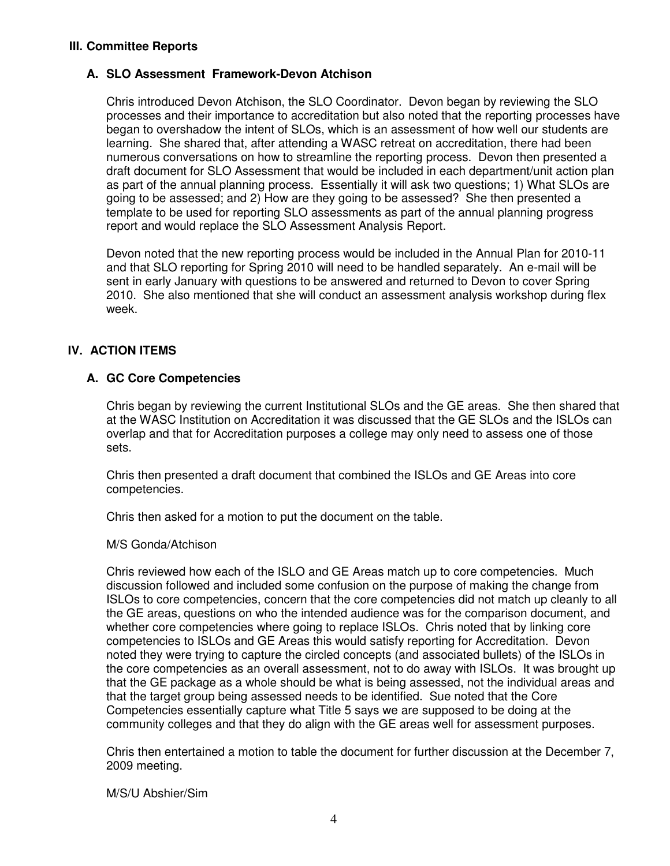#### **III. Committee Reports**

#### **A. SLO Assessment Framework-Devon Atchison**

Chris introduced Devon Atchison, the SLO Coordinator. Devon began by reviewing the SLO processes and their importance to accreditation but also noted that the reporting processes have began to overshadow the intent of SLOs, which is an assessment of how well our students are learning. She shared that, after attending a WASC retreat on accreditation, there had been numerous conversations on how to streamline the reporting process. Devon then presented a draft document for SLO Assessment that would be included in each department/unit action plan as part of the annual planning process. Essentially it will ask two questions; 1) What SLOs are going to be assessed; and 2) How are they going to be assessed? She then presented a template to be used for reporting SLO assessments as part of the annual planning progress report and would replace the SLO Assessment Analysis Report.

Devon noted that the new reporting process would be included in the Annual Plan for 2010-11 and that SLO reporting for Spring 2010 will need to be handled separately. An e-mail will be sent in early January with questions to be answered and returned to Devon to cover Spring 2010. She also mentioned that she will conduct an assessment analysis workshop during flex week.

#### **IV. ACTION ITEMS**

#### **A. GC Core Competencies**

Chris began by reviewing the current Institutional SLOs and the GE areas. She then shared that at the WASC Institution on Accreditation it was discussed that the GE SLOs and the ISLOs can overlap and that for Accreditation purposes a college may only need to assess one of those sets.

Chris then presented a draft document that combined the ISLOs and GE Areas into core competencies.

Chris then asked for a motion to put the document on the table.

#### M/S Gonda/Atchison

Chris reviewed how each of the ISLO and GE Areas match up to core competencies. Much discussion followed and included some confusion on the purpose of making the change from ISLOs to core competencies, concern that the core competencies did not match up cleanly to all the GE areas, questions on who the intended audience was for the comparison document, and whether core competencies where going to replace ISLOs. Chris noted that by linking core competencies to ISLOs and GE Areas this would satisfy reporting for Accreditation. Devon noted they were trying to capture the circled concepts (and associated bullets) of the ISLOs in the core competencies as an overall assessment, not to do away with ISLOs. It was brought up that the GE package as a whole should be what is being assessed, not the individual areas and that the target group being assessed needs to be identified. Sue noted that the Core Competencies essentially capture what Title 5 says we are supposed to be doing at the community colleges and that they do align with the GE areas well for assessment purposes.

Chris then entertained a motion to table the document for further discussion at the December 7, 2009 meeting.

M/S/U Abshier/Sim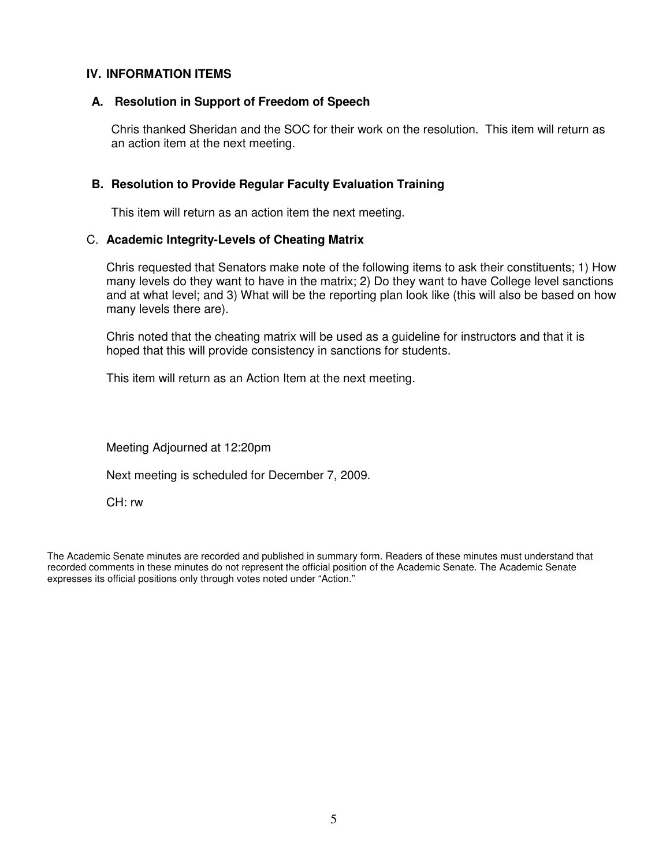#### **IV. INFORMATION ITEMS**

#### **A. Resolution in Support of Freedom of Speech**

Chris thanked Sheridan and the SOC for their work on the resolution. This item will return as an action item at the next meeting.

#### **B. Resolution to Provide Regular Faculty Evaluation Training**

This item will return as an action item the next meeting.

#### C. **Academic Integrity-Levels of Cheating Matrix**

Chris requested that Senators make note of the following items to ask their constituents; 1) How many levels do they want to have in the matrix; 2) Do they want to have College level sanctions and at what level; and 3) What will be the reporting plan look like (this will also be based on how many levels there are).

Chris noted that the cheating matrix will be used as a guideline for instructors and that it is hoped that this will provide consistency in sanctions for students.

This item will return as an Action Item at the next meeting.

Meeting Adjourned at 12:20pm

Next meeting is scheduled for December 7, 2009.

CH: rw

The Academic Senate minutes are recorded and published in summary form. Readers of these minutes must understand that recorded comments in these minutes do not represent the official position of the Academic Senate. The Academic Senate expresses its official positions only through votes noted under "Action."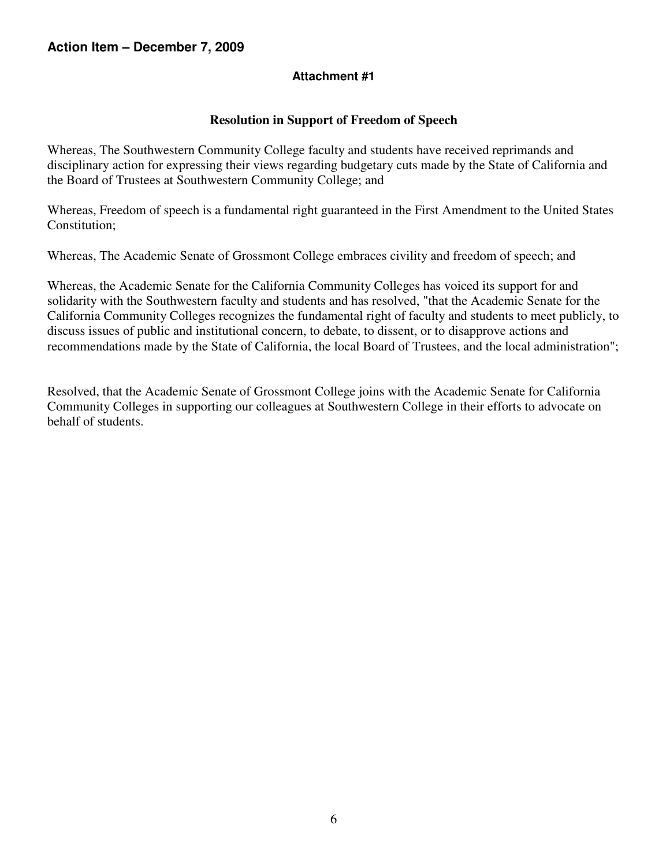#### **Attachment #1**

#### **Resolution in Support of Freedom of Speech**

Whereas, The Southwestern Community College faculty and students have received reprimands and disciplinary action for expressing their views regarding budgetary cuts made by the State of California and the Board of Trustees at Southwestern Community College; and

Whereas, Freedom of speech is a fundamental right guaranteed in the First Amendment to the United States Constitution;

Whereas, The Academic Senate of Grossmont College embraces civility and freedom of speech; and

Whereas, the Academic Senate for the California Community Colleges has voiced its support for and solidarity with the Southwestern faculty and students and has resolved, "that the Academic Senate for the California Community Colleges recognizes the fundamental right of faculty and students to meet publicly, to discuss issues of public and institutional concern, to debate, to dissent, or to disapprove actions and recommendations made by the State of California, the local Board of Trustees, and the local administration";

Resolved, that the Academic Senate of Grossmont College joins with the Academic Senate for California Community Colleges in supporting our colleagues at Southwestern College in their efforts to advocate on behalf of students.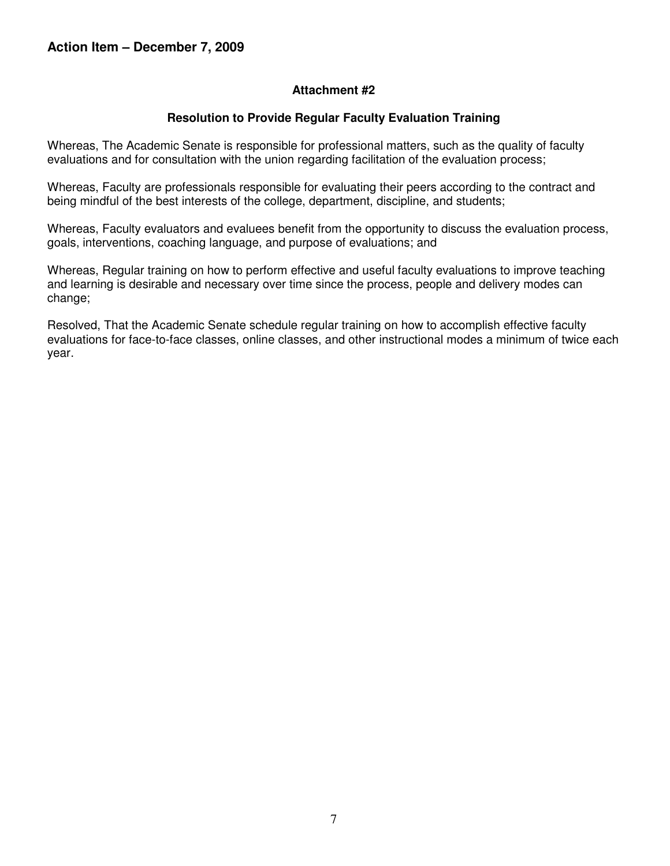#### **Attachment #2**

#### **Resolution to Provide Regular Faculty Evaluation Training**

Whereas, The Academic Senate is responsible for professional matters, such as the quality of faculty evaluations and for consultation with the union regarding facilitation of the evaluation process;

Whereas, Faculty are professionals responsible for evaluating their peers according to the contract and being mindful of the best interests of the college, department, discipline, and students;

Whereas, Faculty evaluators and evaluees benefit from the opportunity to discuss the evaluation process, goals, interventions, coaching language, and purpose of evaluations; and

Whereas, Regular training on how to perform effective and useful faculty evaluations to improve teaching and learning is desirable and necessary over time since the process, people and delivery modes can change;

Resolved, That the Academic Senate schedule regular training on how to accomplish effective faculty evaluations for face-to-face classes, online classes, and other instructional modes a minimum of twice each year.